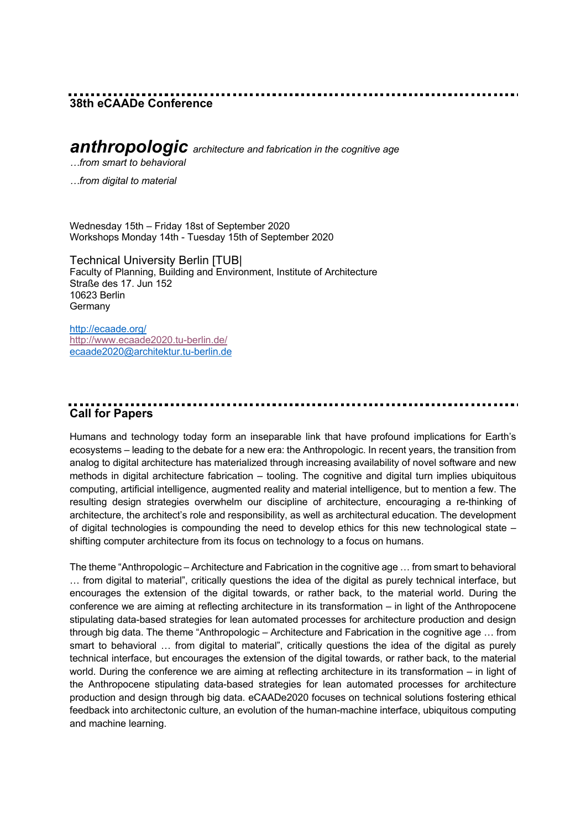### **38th eCAADe Conference**

### *anthropologic architecture and fabrication in the cognitive age*

*…from smart to behavioral* 

*…from digital to material*

Wednesday 15th – Friday 18st of September 2020 Workshops Monday 14th - Tuesday 15th of September 2020

Technical University Berlin [TUB| Faculty of Planning, Building and Environment, Institute of Architecture Straße des 17. Jun 152 10623 Berlin **Germany** 

http://ecaade.org/ http://www.ecaade2020.tu-berlin.de/ ecaade2020@architektur.tu-berlin.de

## **Call for Papers**

Humans and technology today form an inseparable link that have profound implications for Earth's ecosystems – leading to the debate for a new era: the Anthropologic. In recent years, the transition from analog to digital architecture has materialized through increasing availability of novel software and new methods in digital architecture fabrication – tooling. The cognitive and digital turn implies ubiquitous computing, artificial intelligence, augmented reality and material intelligence, but to mention a few. The resulting design strategies overwhelm our discipline of architecture, encouraging a re-thinking of architecture, the architect's role and responsibility, as well as architectural education. The development of digital technologies is compounding the need to develop ethics for this new technological state – shifting computer architecture from its focus on technology to a focus on humans.

The theme "Anthropologic – Architecture and Fabrication in the cognitive age … from smart to behavioral … from digital to material", critically questions the idea of the digital as purely technical interface, but encourages the extension of the digital towards, or rather back, to the material world. During the conference we are aiming at reflecting architecture in its transformation – in light of the Anthropocene stipulating data-based strategies for lean automated processes for architecture production and design through big data. The theme "Anthropologic – Architecture and Fabrication in the cognitive age … from smart to behavioral … from digital to material", critically questions the idea of the digital as purely technical interface, but encourages the extension of the digital towards, or rather back, to the material world. During the conference we are aiming at reflecting architecture in its transformation – in light of the Anthropocene stipulating data-based strategies for lean automated processes for architecture production and design through big data. eCAADe2020 focuses on technical solutions fostering ethical feedback into architectonic culture, an evolution of the human-machine interface, ubiquitous computing and machine learning.